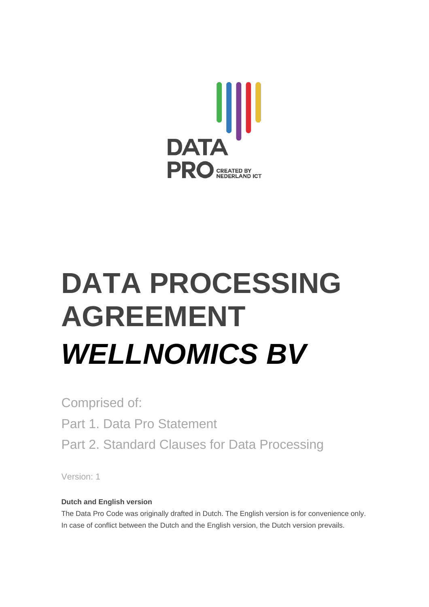

# **DATA PROCESSING AGREEMENT** *WELLNOMICS BV*

Comprised of: Part 1. Data Pro Statement Part 2. Standard Clauses for Data Processing

Version: 1

#### **Dutch and English version**

The Data Pro Code was originally drafted in Dutch. The English version is for convenience only. In case of conflict between the Dutch and the English version, the Dutch version prevails.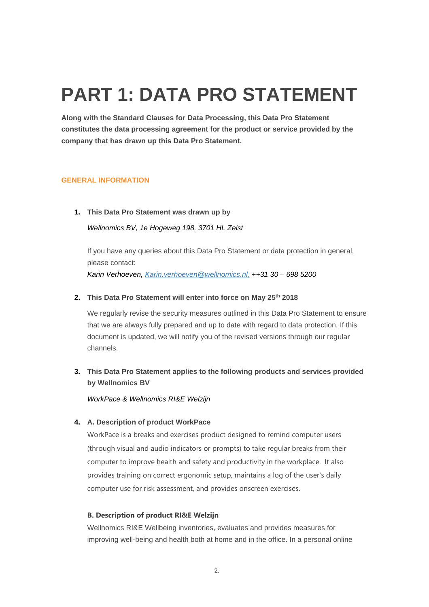### **PART 1: DATA PRO STATEMENT**

**Along with the Standard Clauses for Data Processing, this Data Pro Statement constitutes the data processing agreement for the product or service provided by the company that has drawn up this Data Pro Statement.**

#### **GENERAL INFORMATION**

#### **1. This Data Pro Statement was drawn up by**

*Wellnomics BV, 1e Hogeweg 198, 3701 HL Zeist*

If you have any queries about this Data Pro Statement or data protection in general, please contact: *Karin Verhoeven, [Karin.verhoeven@wellnomics.nl,](mailto:Karin.verhoeven@wellnomics.nl,) ++31 30 – 698 5200*

#### **2. This Data Pro Statement will enter into force on May 25th 2018**

We regularly revise the security measures outlined in this Data Pro Statement to ensure that we are always fully prepared and up to date with regard to data protection. If this document is updated, we will notify you of the revised versions through our regular channels.

**3. This Data Pro Statement applies to the following products and services provided by Wellnomics BV**

*WorkPace & Wellnomics RI&E Welzijn*

#### **4. A. Description of product WorkPace**

WorkPace is a breaks and exercises product designed to remind computer users (through visual and audio indicators or prompts) to take regular breaks from their computer to improve health and safety and productivity in the workplace. It also provides training on correct ergonomic setup, maintains a log of the user's daily computer use for risk assessment, and provides onscreen exercises.

#### **B. Description of product RI&E Welzijn**

Wellnomics RI&E Wellbeing inventories, evaluates and provides measures for improving well-being and health both at home and in the office. In a personal online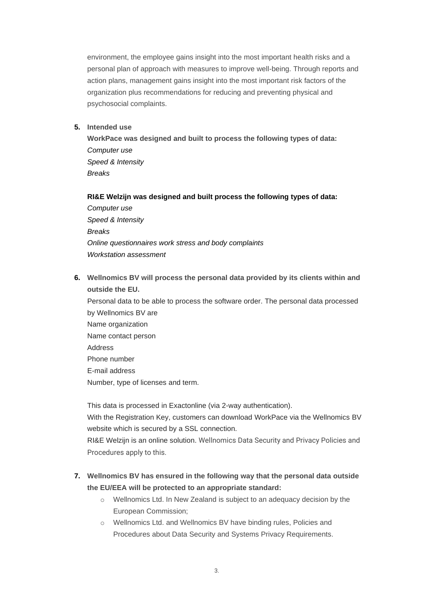environment, the employee gains insight into the most important health risks and a personal plan of approach with measures to improve well-being. Through reports and action plans, management gains insight into the most important risk factors of the organization plus recommendations for reducing and preventing physical and psychosocial complaints.

**5. Intended use**

**WorkPace was designed and built to process the following types of data:** *Computer use Speed & Intensity Breaks*

#### **RI&E Welzijn was designed and built process the following types of data:**

*Computer use Speed & Intensity Breaks Online questionnaires work stress and body complaints Workstation assessment*

**6. Wellnomics BV will process the personal data provided by its clients within and outside the EU.**

Personal data to be able to process the software order. The personal data processed by Wellnomics BV are Name organization Name contact person Address Phone number E-mail address Number, type of licenses and term.

This data is processed in Exactonline (via 2-way authentication). With the Registration Key, customers can download WorkPace via the Wellnomics BV website which is secured by a SSL connection.

RI&E Welzijn is an online solution. Wellnomics Data Security and Privacy Policies and Procedures apply to this.

#### **7. Wellnomics BV has ensured in the following way that the personal data outside the EU/EEA will be protected to an appropriate standard:**

- o Wellnomics Ltd. In New Zealand is subject to an adequacy decision by the European Commission;
- o Wellnomics Ltd. and Wellnomics BV have binding rules, Policies and Procedures about Data Security and Systems Privacy Requirements.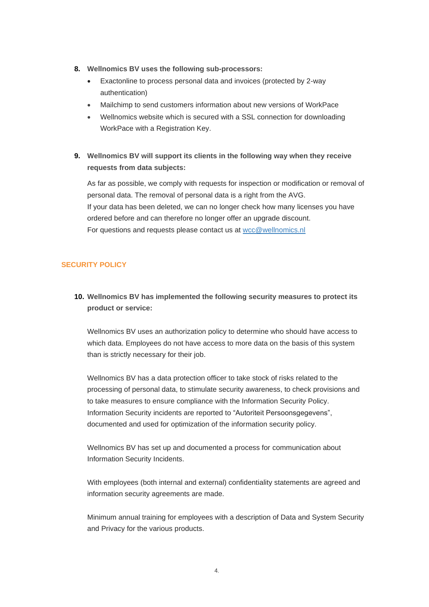- **8. Wellnomics BV uses the following sub-processors:**
	- Exactonline to process personal data and invoices (protected by 2-way authentication)
	- Mailchimp to send customers information about new versions of WorkPace
	- Wellnomics website which is secured with a SSL connection for downloading WorkPace with a Registration Key.
- **9. Wellnomics BV will support its clients in the following way when they receive requests from data subjects:**

As far as possible, we comply with requests for inspection or modification or removal of personal data. The removal of personal data is a right from the AVG. If your data has been deleted, we can no longer check how many licenses you have ordered before and can therefore no longer offer an upgrade discount. For questions and requests please contact us at [wcc@wellnomics.nl](mailto:wcc@wellnomics.nl)

#### **SECURITY POLICY**

**10. Wellnomics BV has implemented the following security measures to protect its product or service:**

Wellnomics BV uses an authorization policy to determine who should have access to which data. Employees do not have access to more data on the basis of this system than is strictly necessary for their job.

Wellnomics BV has a data protection officer to take stock of risks related to the processing of personal data, to stimulate security awareness, to check provisions and to take measures to ensure compliance with the Information Security Policy. Information Security incidents are reported to "Autoriteit Persoonsgegevens", documented and used for optimization of the information security policy.

Wellnomics BV has set up and documented a process for communication about Information Security Incidents.

With employees (both internal and external) confidentiality statements are agreed and information security agreements are made.

Minimum annual training for employees with a description of Data and System Security and Privacy for the various products.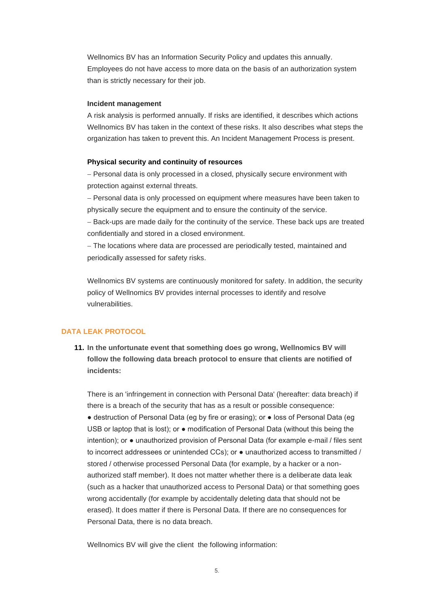Wellnomics BV has an Information Security Policy and updates this annually. Employees do not have access to more data on the basis of an authorization system than is strictly necessary for their job.

#### **Incident management**

A risk analysis is performed annually. If risks are identified, it describes which actions Wellnomics BV has taken in the context of these risks. It also describes what steps the organization has taken to prevent this. An Incident Management Process is present.

#### **Physical security and continuity of resources**

− Personal data is only processed in a closed, physically secure environment with protection against external threats.

− Personal data is only processed on equipment where measures have been taken to physically secure the equipment and to ensure the continuity of the service.

− Back-ups are made daily for the continuity of the service. These back ups are treated confidentially and stored in a closed environment.

− The locations where data are processed are periodically tested, maintained and periodically assessed for safety risks.

Wellnomics BV systems are continuously monitored for safety. In addition, the security policy of Wellnomics BV provides internal processes to identify and resolve vulnerabilities.

#### **DATA LEAK PROTOCOL**

**11. In the unfortunate event that something does go wrong, Wellnomics BV will follow the following data breach protocol to ensure that clients are notified of incidents:**

There is an 'infringement in connection with Personal Data' (hereafter: data breach) if there is a breach of the security that has as a result or possible consequence: ● destruction of Personal Data (eg by fire or erasing); or ● loss of Personal Data (eg USB or laptop that is lost); or ● modification of Personal Data (without this being the intention); or ● unauthorized provision of Personal Data (for example e-mail / files sent to incorrect addressees or unintended CCs); or ● unauthorized access to transmitted / stored / otherwise processed Personal Data (for example, by a hacker or a nonauthorized staff member). It does not matter whether there is a deliberate data leak (such as a hacker that unauthorized access to Personal Data) or that something goes wrong accidentally (for example by accidentally deleting data that should not be erased). It does matter if there is Personal Data. If there are no consequences for Personal Data, there is no data breach.

Wellnomics BV will give the client the following information: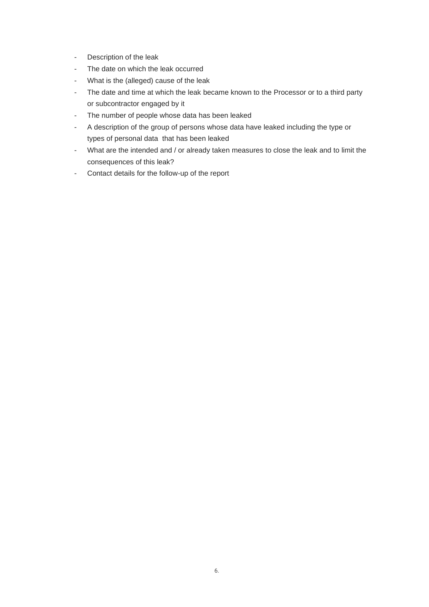- Description of the leak
- The date on which the leak occurred
- What is the (alleged) cause of the leak
- The date and time at which the leak became known to the Processor or to a third party or subcontractor engaged by it
- The number of people whose data has been leaked
- A description of the group of persons whose data have leaked including the type or types of personal data that has been leaked
- What are the intended and / or already taken measures to close the leak and to limit the consequences of this leak?
- Contact details for the follow-up of the report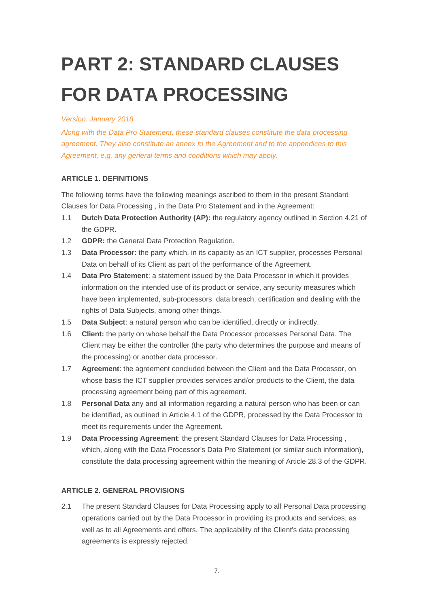## **PART 2: STANDARD CLAUSES FOR DATA PROCESSING**

#### *Version: January 2018*

*Along with the Data Pro Statement, these standard clauses constitute the data processing agreement. They also constitute an annex to the Agreement and to the appendices to this Agreement, e.g. any general terms and conditions which may apply.*

#### **ARTICLE 1. DEFINITIONS**

The following terms have the following meanings ascribed to them in the present Standard Clauses for Data Processing , in the Data Pro Statement and in the Agreement:

- 1.1 **Dutch Data Protection Authority (AP):** the regulatory agency outlined in Section 4.21 of the GDPR.
- 1.2 **GDPR:** the General Data Protection Regulation.
- 1.3 **Data Processor**: the party which, in its capacity as an ICT supplier, processes Personal Data on behalf of its Client as part of the performance of the Agreement.
- 1.4 **Data Pro Statement**: a statement issued by the Data Processor in which it provides information on the intended use of its product or service, any security measures which have been implemented, sub-processors, data breach, certification and dealing with the rights of Data Subjects, among other things.
- 1.5 **Data Subject**: a natural person who can be identified, directly or indirectly.
- 1.6 **Client:** the party on whose behalf the Data Processor processes Personal Data. The Client may be either the controller (the party who determines the purpose and means of the processing) or another data processor.
- 1.7 **Agreement**: the agreement concluded between the Client and the Data Processor, on whose basis the ICT supplier provides services and/or products to the Client, the data processing agreement being part of this agreement.
- 1.8 **Personal Data** any and all information regarding a natural person who has been or can be identified, as outlined in Article 4.1 of the GDPR, processed by the Data Processor to meet its requirements under the Agreement.
- 1.9 **Data Processing Agreement**: the present Standard Clauses for Data Processing , which, along with the Data Processor's Data Pro Statement (or similar such information), constitute the data processing agreement within the meaning of Article 28.3 of the GDPR.

#### **ARTICLE 2. GENERAL PROVISIONS**

2.1 The present Standard Clauses for Data Processing apply to all Personal Data processing operations carried out by the Data Processor in providing its products and services, as well as to all Agreements and offers. The applicability of the Client's data processing agreements is expressly rejected.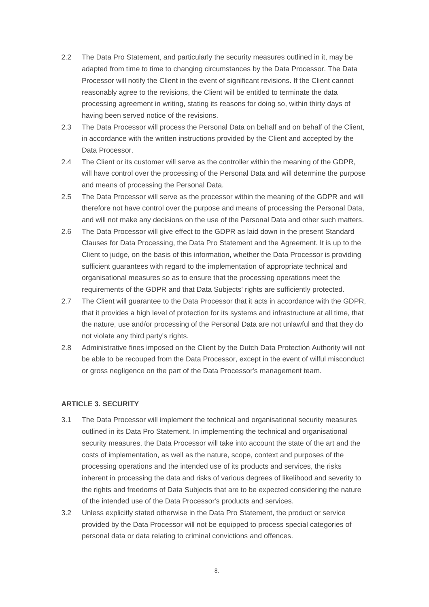- 2.2 The Data Pro Statement, and particularly the security measures outlined in it, may be adapted from time to time to changing circumstances by the Data Processor. The Data Processor will notify the Client in the event of significant revisions. If the Client cannot reasonably agree to the revisions, the Client will be entitled to terminate the data processing agreement in writing, stating its reasons for doing so, within thirty days of having been served notice of the revisions.
- 2.3 The Data Processor will process the Personal Data on behalf and on behalf of the Client, in accordance with the written instructions provided by the Client and accepted by the Data Processor.
- 2.4 The Client or its customer will serve as the controller within the meaning of the GDPR, will have control over the processing of the Personal Data and will determine the purpose and means of processing the Personal Data.
- 2.5 The Data Processor will serve as the processor within the meaning of the GDPR and will therefore not have control over the purpose and means of processing the Personal Data, and will not make any decisions on the use of the Personal Data and other such matters.
- 2.6 The Data Processor will give effect to the GDPR as laid down in the present Standard Clauses for Data Processing, the Data Pro Statement and the Agreement. It is up to the Client to judge, on the basis of this information, whether the Data Processor is providing sufficient guarantees with regard to the implementation of appropriate technical and organisational measures so as to ensure that the processing operations meet the requirements of the GDPR and that Data Subjects' rights are sufficiently protected.
- 2.7 The Client will guarantee to the Data Processor that it acts in accordance with the GDPR, that it provides a high level of protection for its systems and infrastructure at all time, that the nature, use and/or processing of the Personal Data are not unlawful and that they do not violate any third party's rights.
- 2.8 Administrative fines imposed on the Client by the Dutch Data Protection Authority will not be able to be recouped from the Data Processor, except in the event of wilful misconduct or gross negligence on the part of the Data Processor's management team.

#### **ARTICLE 3. SECURITY**

- 3.1 The Data Processor will implement the technical and organisational security measures outlined in its Data Pro Statement. In implementing the technical and organisational security measures, the Data Processor will take into account the state of the art and the costs of implementation, as well as the nature, scope, context and purposes of the processing operations and the intended use of its products and services, the risks inherent in processing the data and risks of various degrees of likelihood and severity to the rights and freedoms of Data Subjects that are to be expected considering the nature of the intended use of the Data Processor's products and services.
- 3.2 Unless explicitly stated otherwise in the Data Pro Statement, the product or service provided by the Data Processor will not be equipped to process special categories of personal data or data relating to criminal convictions and offences.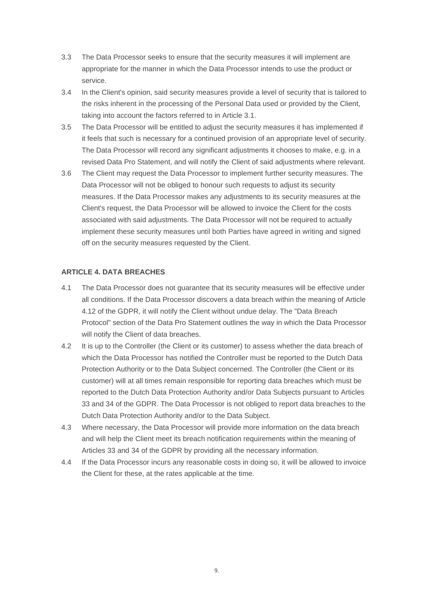- 3.3 The Data Processor seeks to ensure that the security measures it will implement are appropriate for the manner in which the Data Processor intends to use the product or service.
- 3.4 In the Client's opinion, said security measures provide a level of security that is tailored to the risks inherent in the processing of the Personal Data used or provided by the Client, taking into account the factors referred to in Article 3.1.
- 3.5 The Data Processor will be entitled to adjust the security measures it has implemented if it feels that such is necessary for a continued provision of an appropriate level of security. The Data Processor will record any significant adjustments it chooses to make, e.g. in a revised Data Pro Statement, and will notify the Client of said adjustments where relevant.
- 3.6 The Client may request the Data Processor to implement further security measures. The Data Processor will not be obliged to honour such requests to adjust its security measures. If the Data Processor makes any adjustments to its security measures at the Client's request, the Data Processor will be allowed to invoice the Client for the costs associated with said adjustments. The Data Processor will not be required to actually implement these security measures until both Parties have agreed in writing and signed off on the security measures requested by the Client.

#### **ARTICLE 4. DATA BREACHES**

- 4.1 The Data Processor does not guarantee that its security measures will be effective under all conditions. If the Data Processor discovers a data breach within the meaning of Article 4.12 of the GDPR, it will notify the Client without undue delay. The "Data Breach Protocol" section of the Data Pro Statement outlines the way in which the Data Processor will notify the Client of data breaches.
- 4.2 It is up to the Controller (the Client or its customer) to assess whether the data breach of which the Data Processor has notified the Controller must be reported to the Dutch Data Protection Authority or to the Data Subject concerned. The Controller (the Client or its customer) will at all times remain responsible for reporting data breaches which must be reported to the Dutch Data Protection Authority and/or Data Subjects pursuant to Articles 33 and 34 of the GDPR. The Data Processor is not obliged to report data breaches to the Dutch Data Protection Authority and/or to the Data Subject.
- 4.3 Where necessary, the Data Processor will provide more information on the data breach and will help the Client meet its breach notification requirements within the meaning of Articles 33 and 34 of the GDPR by providing all the necessary information.
- 4.4 If the Data Processor incurs any reasonable costs in doing so, it will be allowed to invoice the Client for these, at the rates applicable at the time.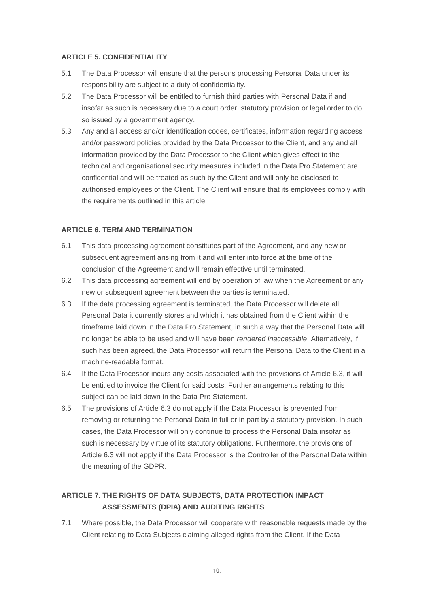#### **ARTICLE 5. CONFIDENTIALITY**

- 5.1 The Data Processor will ensure that the persons processing Personal Data under its responsibility are subject to a duty of confidentiality.
- 5.2 The Data Processor will be entitled to furnish third parties with Personal Data if and insofar as such is necessary due to a court order, statutory provision or legal order to do so issued by a government agency.
- 5.3 Any and all access and/or identification codes, certificates, information regarding access and/or password policies provided by the Data Processor to the Client, and any and all information provided by the Data Processor to the Client which gives effect to the technical and organisational security measures included in the Data Pro Statement are confidential and will be treated as such by the Client and will only be disclosed to authorised employees of the Client. The Client will ensure that its employees comply with the requirements outlined in this article.

#### **ARTICLE 6. TERM AND TERMINATION**

- 6.1 This data processing agreement constitutes part of the Agreement, and any new or subsequent agreement arising from it and will enter into force at the time of the conclusion of the Agreement and will remain effective until terminated.
- 6.2 This data processing agreement will end by operation of law when the Agreement or any new or subsequent agreement between the parties is terminated.
- 6.3 If the data processing agreement is terminated, the Data Processor will delete all Personal Data it currently stores and which it has obtained from the Client within the timeframe laid down in the Data Pro Statement, in such a way that the Personal Data will no longer be able to be used and will have been *rendered inaccessible*. Alternatively, if such has been agreed, the Data Processor will return the Personal Data to the Client in a machine-readable format.
- 6.4 If the Data Processor incurs any costs associated with the provisions of Article 6.3, it will be entitled to invoice the Client for said costs. Further arrangements relating to this subject can be laid down in the Data Pro Statement.
- 6.5 The provisions of Article 6.3 do not apply if the Data Processor is prevented from removing or returning the Personal Data in full or in part by a statutory provision. In such cases, the Data Processor will only continue to process the Personal Data insofar as such is necessary by virtue of its statutory obligations. Furthermore, the provisions of Article 6.3 will not apply if the Data Processor is the Controller of the Personal Data within the meaning of the GDPR.

#### **ARTICLE 7. THE RIGHTS OF DATA SUBJECTS, DATA PROTECTION IMPACT ASSESSMENTS (DPIA) AND AUDITING RIGHTS**

7.1 Where possible, the Data Processor will cooperate with reasonable requests made by the Client relating to Data Subjects claiming alleged rights from the Client. If the Data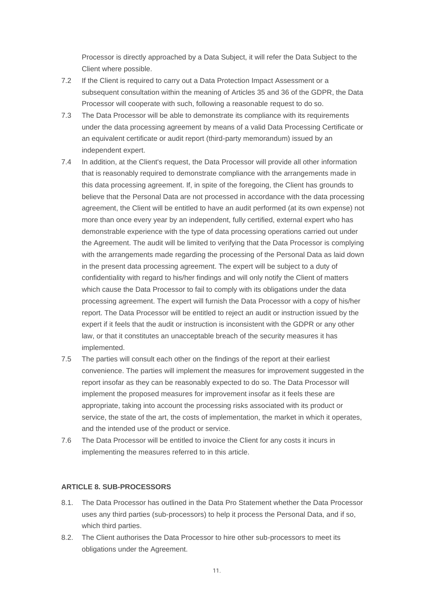Processor is directly approached by a Data Subject, it will refer the Data Subject to the Client where possible.

- 7.2 If the Client is required to carry out a Data Protection Impact Assessment or a subsequent consultation within the meaning of Articles 35 and 36 of the GDPR, the Data Processor will cooperate with such, following a reasonable request to do so.
- 7.3 The Data Processor will be able to demonstrate its compliance with its requirements under the data processing agreement by means of a valid Data Processing Certificate or an equivalent certificate or audit report (third-party memorandum) issued by an independent expert.
- 7.4 In addition, at the Client's request, the Data Processor will provide all other information that is reasonably required to demonstrate compliance with the arrangements made in this data processing agreement. If, in spite of the foregoing, the Client has grounds to believe that the Personal Data are not processed in accordance with the data processing agreement, the Client will be entitled to have an audit performed (at its own expense) not more than once every year by an independent, fully certified, external expert who has demonstrable experience with the type of data processing operations carried out under the Agreement. The audit will be limited to verifying that the Data Processor is complying with the arrangements made regarding the processing of the Personal Data as laid down in the present data processing agreement. The expert will be subject to a duty of confidentiality with regard to his/her findings and will only notify the Client of matters which cause the Data Processor to fail to comply with its obligations under the data processing agreement. The expert will furnish the Data Processor with a copy of his/her report. The Data Processor will be entitled to reject an audit or instruction issued by the expert if it feels that the audit or instruction is inconsistent with the GDPR or any other law, or that it constitutes an unacceptable breach of the security measures it has implemented.
- 7.5 The parties will consult each other on the findings of the report at their earliest convenience. The parties will implement the measures for improvement suggested in the report insofar as they can be reasonably expected to do so. The Data Processor will implement the proposed measures for improvement insofar as it feels these are appropriate, taking into account the processing risks associated with its product or service, the state of the art, the costs of implementation, the market in which it operates, and the intended use of the product or service.
- 7.6 The Data Processor will be entitled to invoice the Client for any costs it incurs in implementing the measures referred to in this article.

#### **ARTICLE 8. SUB-PROCESSORS**

- 8.1. The Data Processor has outlined in the Data Pro Statement whether the Data Processor uses any third parties (sub-processors) to help it process the Personal Data, and if so, which third parties.
- 8.2. The Client authorises the Data Processor to hire other sub-processors to meet its obligations under the Agreement.